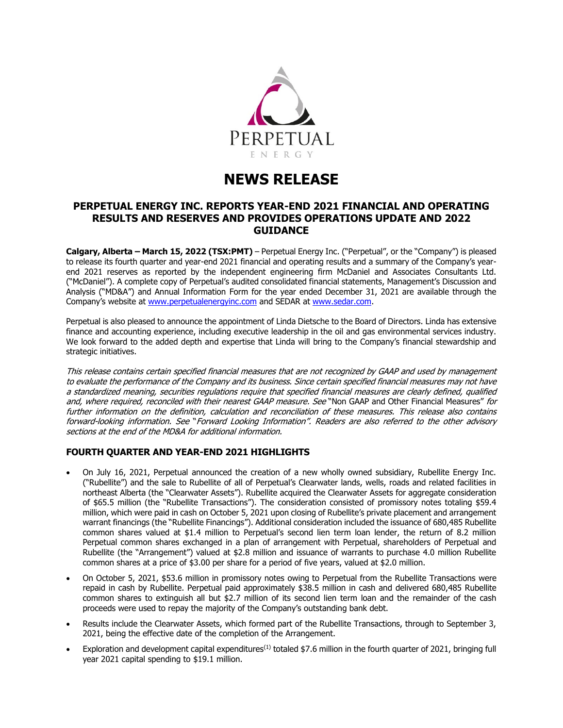

# **NEWS RELEASE**

# **PERPETUAL ENERGY INC. REPORTS YEAR-END 2021 FINANCIAL AND OPERATING RESULTS AND RESERVES AND PROVIDES OPERATIONS UPDATE AND 2022 GUIDANCE**

**Calgary, Alberta – March 15, 2022 (TSX:PMT)** – Perpetual Energy Inc. ("Perpetual", or the "Company") is pleased to release its fourth quarter and year-end 2021 financial and operating results and a summary of the Company's yearend 2021 reserves as reported by the independent engineering firm McDaniel and Associates Consultants Ltd. ("McDaniel"). A complete copy of Perpetual's audited consolidated financial statements, Management's Discussion and Analysis ("MD&A") and Annual Information Form for the year ended December 31, 2021 are available through the Company's website at [www.perpetualenergyinc.com](http://www.perpetualenergyinc.com/) and SEDAR at [www.sedar.com.](http://www.sedar.com/)

Perpetual is also pleased to announce the appointment of Linda Dietsche to the Board of Directors. Linda has extensive finance and accounting experience, including executive leadership in the oil and gas environmental services industry. We look forward to the added depth and expertise that Linda will bring to the Company's financial stewardship and strategic initiatives.

This release contains certain specified financial measures that are not recognized by GAAP and used by management to evaluate the performance of the Company and its business. Since certain specified financial measures may not have a standardized meaning, securities regulations require that specified financial measures are clearly defined, qualified and, where required, reconciled with their nearest GAAP measure. See "Non GAAP and Other Financial Measures" for further information on the definition, calculation and reconciliation of these measures. This release also contains forward-looking information. See "Forward Looking Information". Readers are also referred to the other advisory sections at the end of the MD&A for additional information.

# **FOURTH QUARTER AND YEAR-END 2021 HIGHLIGHTS**

- On July 16, 2021, Perpetual announced the creation of a new wholly owned subsidiary, Rubellite Energy Inc. ("Rubellite") and the sale to Rubellite of all of Perpetual's Clearwater lands, wells, roads and related facilities in northeast Alberta (the "Clearwater Assets"). Rubellite acquired the Clearwater Assets for aggregate consideration of \$65.5 million (the "Rubellite Transactions"). The consideration consisted of promissory notes totaling \$59.4 million, which were paid in cash on October 5, 2021 upon closing of Rubellite's private placement and arrangement warrant financings (the "Rubellite Financings"). Additional consideration included the issuance of 680,485 Rubellite common shares valued at \$1.4 million to Perpetual's second lien term loan lender, the return of 8.2 million Perpetual common shares exchanged in a plan of arrangement with Perpetual, shareholders of Perpetual and Rubellite (the "Arrangement") valued at \$2.8 million and issuance of warrants to purchase 4.0 million Rubellite common shares at a price of \$3.00 per share for a period of five years, valued at \$2.0 million.
- On October 5, 2021, \$53.6 million in promissory notes owing to Perpetual from the Rubellite Transactions were repaid in cash by Rubellite. Perpetual paid approximately \$38.5 million in cash and delivered 680,485 Rubellite common shares to extinguish all but \$2.7 million of its second lien term loan and the remainder of the cash proceeds were used to repay the majority of the Company's outstanding bank debt.
- Results include the Clearwater Assets, which formed part of the Rubellite Transactions, through to September 3, 2021, being the effective date of the completion of the Arrangement.
- Exploration and development capital expenditures<sup>(1)</sup> totaled \$7.6 million in the fourth quarter of 2021, bringing full year 2021 capital spending to \$19.1 million.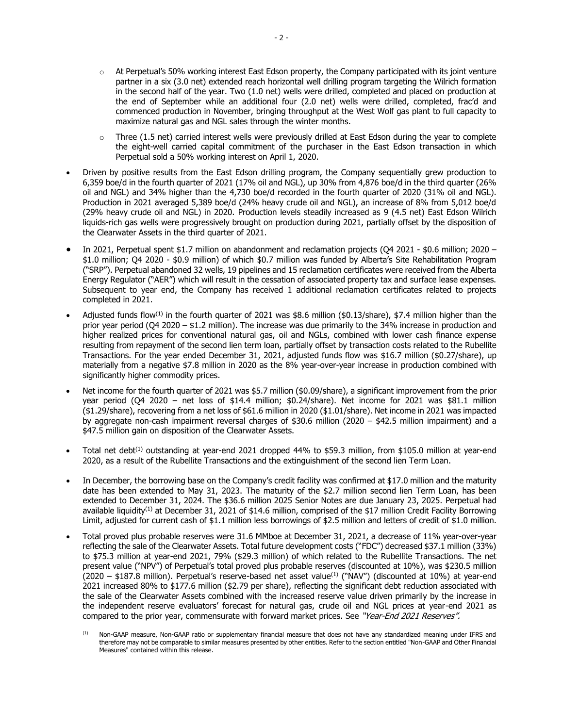- $\circ$  At Perpetual's 50% working interest East Edson property, the Company participated with its joint venture partner in a six (3.0 net) extended reach horizontal well drilling program targeting the Wilrich formation in the second half of the year. Two (1.0 net) wells were drilled, completed and placed on production at the end of September while an additional four (2.0 net) wells were drilled, completed, frac'd and commenced production in November, bringing throughput at the West Wolf gas plant to full capacity to maximize natural gas and NGL sales through the winter months.
- $\circ$  Three (1.5 net) carried interest wells were previously drilled at East Edson during the year to complete the eight-well carried capital commitment of the purchaser in the East Edson transaction in which Perpetual sold a 50% working interest on April 1, 2020.
- Driven by positive results from the East Edson drilling program, the Company sequentially grew production to 6,359 boe/d in the fourth quarter of 2021 (17% oil and NGL), up 30% from 4,876 boe/d in the third quarter (26% oil and NGL) and 34% higher than the 4,730 boe/d recorded in the fourth quarter of 2020 (31% oil and NGL). Production in 2021 averaged 5,389 boe/d (24% heavy crude oil and NGL), an increase of 8% from 5,012 boe/d (29% heavy crude oil and NGL) in 2020. Production levels steadily increased as 9 (4.5 net) East Edson Wilrich liquids-rich gas wells were progressively brought on production during 2021, partially offset by the disposition of the Clearwater Assets in the third quarter of 2021.
- In 2021, Perpetual spent \$1.7 million on abandonment and reclamation projects (Q4 2021 \$0.6 million; 2020 \$1.0 million; Q4 2020 - \$0.9 million) of which \$0.7 million was funded by Alberta's Site Rehabilitation Program ("SRP"). Perpetual abandoned 32 wells, 19 pipelines and 15 reclamation certificates were received from the Alberta Energy Regulator ("AER") which will result in the cessation of associated property tax and surface lease expenses. Subsequent to year end, the Company has received 1 additional reclamation certificates related to projects completed in 2021.
- Adjusted funds flow<sup>(1)</sup> in the fourth quarter of 2021 was \$8.6 million (\$0.13/share), \$7.4 million higher than the prior year period (Q4 2020 – \$1.2 million). The increase was due primarily to the 34% increase in production and higher realized prices for conventional natural gas, oil and NGLs, combined with lower cash finance expense resulting from repayment of the second lien term loan, partially offset by transaction costs related to the Rubellite Transactions. For the year ended December 31, 2021, adjusted funds flow was \$16.7 million (\$0.27/share), up materially from a negative \$7.8 million in 2020 as the 8% year-over-year increase in production combined with significantly higher commodity prices.
- Net income for the fourth quarter of 2021 was \$5.7 million (\$0.09/share), a significant improvement from the prior year period (Q4 2020 – net loss of \$14.4 million; \$0.24/share). Net income for 2021 was \$81.1 million (\$1.29/share), recovering from a net loss of \$61.6 million in 2020 (\$1.01/share). Net income in 2021 was impacted by aggregate non-cash impairment reversal charges of \$30.6 million (2020 – \$42.5 million impairment) and a \$47.5 million gain on disposition of the Clearwater Assets.
- Total net debt(1) outstanding at year-end 2021 dropped 44% to \$59.3 million, from \$105.0 million at year-end 2020, as a result of the Rubellite Transactions and the extinguishment of the second lien Term Loan.
- In December, the borrowing base on the Company's credit facility was confirmed at \$17.0 million and the maturity date has been extended to May 31, 2023. The maturity of the \$2.7 million second lien Term Loan, has been extended to December 31, 2024. The \$36.6 million 2025 Senior Notes are due January 23, 2025. Perpetual had available liquidity<sup>(1)</sup> at December 31, 2021 of \$14.6 million, comprised of the \$17 million Credit Facility Borrowing Limit, adjusted for current cash of \$1.1 million less borrowings of \$2.5 million and letters of credit of \$1.0 million.
- Total proved plus probable reserves were 31.6 MMboe at December 31, 2021, a decrease of 11% year-over-year reflecting the sale of the Clearwater Assets. Total future development costs ("FDC") decreased \$37.1 million (33%) to \$75.3 million at year-end 2021, 79% (\$29.3 million) of which related to the Rubellite Transactions. The net present value ("NPV") of Perpetual's total proved plus probable reserves (discounted at 10%), was \$230.5 million  $(2020 - $187.8$  million). Perpetual's reserve-based net asset value<sup>(1)</sup> ("NAV") (discounted at 10%) at year-end 2021 increased 80% to \$177.6 million (\$2.79 per share), reflecting the significant debt reduction associated with the sale of the Clearwater Assets combined with the increased reserve value driven primarily by the increase in the independent reserve evaluators' forecast for natural gas, crude oil and NGL prices at year-end 2021 as compared to the prior year, commensurate with forward market prices. See "Year-End 2021 Reserves".

Non-GAAP measure, Non-GAAP ratio or supplementary financial measure that does not have any standardized meaning under IFRS and therefore may not be comparable to similar measures presented by other entities. Refer to the section entitled "Non-GAAP and Other Financial Measures" contained within this release.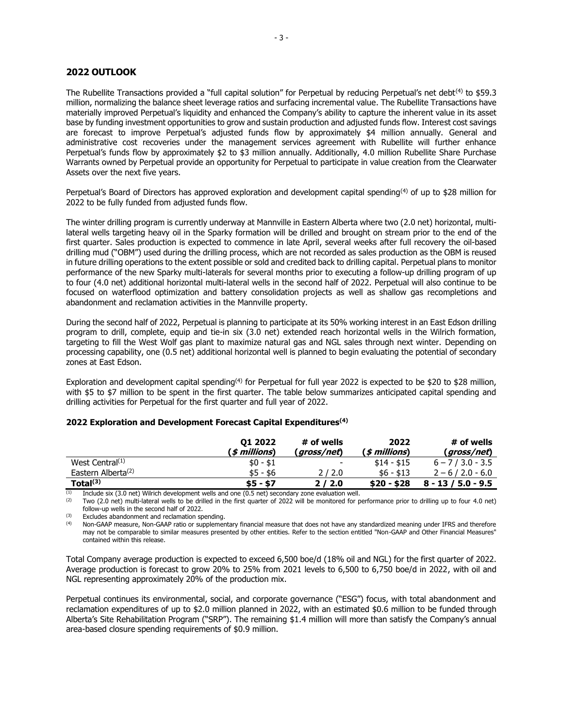# **2022 OUTLOOK**

The Rubellite Transactions provided a "full capital solution" for Perpetual by reducing Perpetual's net debt<sup>(4)</sup> to \$59.3 million, normalizing the balance sheet leverage ratios and surfacing incremental value. The Rubellite Transactions have materially improved Perpetual's liquidity and enhanced the Company's ability to capture the inherent value in its asset base by funding investment opportunities to grow and sustain production and adjusted funds flow. Interest cost savings are forecast to improve Perpetual's adjusted funds flow by approximately \$4 million annually. General and administrative cost recoveries under the management services agreement with Rubellite will further enhance Perpetual's funds flow by approximately \$2 to \$3 million annually. Additionally, 4.0 million Rubellite Share Purchase Warrants owned by Perpetual provide an opportunity for Perpetual to participate in value creation from the Clearwater Assets over the next five years.

Perpetual's Board of Directors has approved exploration and development capital spending(4) of up to \$28 million for 2022 to be fully funded from adjusted funds flow.

The winter drilling program is currently underway at Mannville in Eastern Alberta where two (2.0 net) horizontal, multilateral wells targeting heavy oil in the Sparky formation will be drilled and brought on stream prior to the end of the first quarter. Sales production is expected to commence in late April, several weeks after full recovery the oil-based drilling mud ("OBM") used during the drilling process, which are not recorded as sales production as the OBM is reused in future drilling operations to the extent possible or sold and credited back to drilling capital. Perpetual plans to monitor performance of the new Sparky multi-laterals for several months prior to executing a follow-up drilling program of up to four (4.0 net) additional horizontal multi-lateral wells in the second half of 2022. Perpetual will also continue to be focused on waterflood optimization and battery consolidation projects as well as shallow gas recompletions and abandonment and reclamation activities in the Mannville property.

During the second half of 2022, Perpetual is planning to participate at its 50% working interest in an East Edson drilling program to drill, complete, equip and tie-in six (3.0 net) extended reach horizontal wells in the Wilrich formation, targeting to fill the West Wolf gas plant to maximize natural gas and NGL sales through next winter. Depending on processing capability, one (0.5 net) additional horizontal well is planned to begin evaluating the potential of secondary zones at East Edson.

Exploration and development capital spending<sup>(4)</sup> for Perpetual for full year 2022 is expected to be \$20 to \$28 million, with \$5 to \$7 million to be spent in the first quarter. The table below summarizes anticipated capital spending and drilling activities for Perpetual for the first quarter and full year of 2022.

|                                | 01 2022<br>( <i>\$ millions</i> ) | # of wells<br>(gross/net) | 2022<br>( <i>\$ millions</i> ) | # of wells<br>( gross/net) |
|--------------------------------|-----------------------------------|---------------------------|--------------------------------|----------------------------|
| West Central <sup>(1)</sup>    | $$0 - $1$                         | $\overline{\phantom{0}}$  | $$14 - $15$                    | $6 - 7/3.0 - 3.5$          |
| Eastern Alberta <sup>(2)</sup> | $$5 - $6$                         | 2/2.0                     | $$6 - $13$                     | $2 - 6/2.0 - 6.0$          |
| Total <sup>(3)</sup>           | \$5 - \$7                         | 2/2.0                     | \$20 - \$28                    | $8 - 13 / 5.0 - 9.5$       |

# **2022 Exploration and Development Forecast Capital Expenditures(4)**

The Include six (3.0 net) Wilrich development wells and one (0.5 net) secondary zone evaluation well.<br>(2) Two (2.0 net) multi-lateral wells to be drilled in the first quarter of 2022 will be menitored for n

(2) Two (2.0 net) multi-lateral wells to be drilled in the first quarter of 2022 will be monitored for performance prior to drilling up to four 4.0 net) follow-up wells in the second half of 2022.

(3) Excludes abandonment and reclamation spending.<br>  $(4)$  Non-GAAP measure, Non-GAAP ratio or supplement

(4) Non-GAAP measure, Non-GAAP ratio or supplementary financial measure that does not have any standardized meaning under IFRS and therefore may not be comparable to similar measures presented by other entities. Refer to the section entitled "Non-GAAP and Other Financial Measures" contained within this release.

Total Company average production is expected to exceed 6,500 boe/d (18% oil and NGL) for the first quarter of 2022. Average production is forecast to grow 20% to 25% from 2021 levels to 6,500 to 6,750 boe/d in 2022, with oil and NGL representing approximately 20% of the production mix.

Perpetual continues its environmental, social, and corporate governance ("ESG") focus, with total abandonment and reclamation expenditures of up to \$2.0 million planned in 2022, with an estimated \$0.6 million to be funded through Alberta's Site Rehabilitation Program ("SRP"). The remaining \$1.4 million will more than satisfy the Company's annual area-based closure spending requirements of \$0.9 million.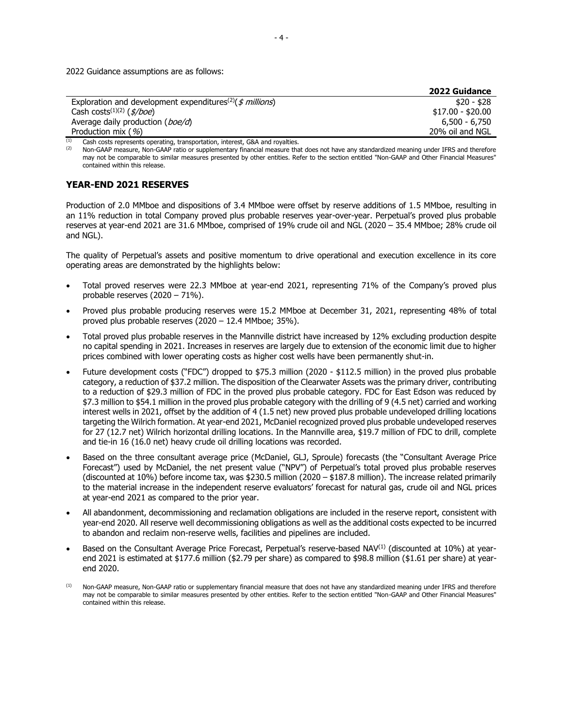2022 Guidance assumptions are as follows:

|                                                                               | <b>2022 Guidance</b> |
|-------------------------------------------------------------------------------|----------------------|
| Exploration and development expenditures <sup>(2)</sup> ( $\oint$ millions)   | \$20 - \$28          |
| Cash costs <sup><math>(1)(2)</math></sup> ( $\frac{s}{b}$ oe)                 | $$17.00 - $20.00$    |
| Average daily production ( <i>boe/d</i> )                                     | $6.500 - 6.750$      |
| Production mix $($ %)                                                         | 20% oil and NGL      |
| Cash costs represents operating, transportation, interest, G&A and royalties. |                      |

Non-GAAP measure, Non-GAAP ratio or supplementary financial measure that does not have any standardized meaning under IFRS and therefore may not be comparable to similar measures presented by other entities. Refer to the section entitled "Non-GAAP and Other Financial Measures" contained within this release.

# **YEAR-END 2021 RESERVES**

Production of 2.0 MMboe and dispositions of 3.4 MMboe were offset by reserve additions of 1.5 MMboe, resulting in an 11% reduction in total Company proved plus probable reserves year-over-year. Perpetual's proved plus probable reserves at year-end 2021 are 31.6 MMboe, comprised of 19% crude oil and NGL (2020 – 35.4 MMboe; 28% crude oil and NGL).

The quality of Perpetual's assets and positive momentum to drive operational and execution excellence in its core operating areas are demonstrated by the highlights below:

- Total proved reserves were 22.3 MMboe at year-end 2021, representing 71% of the Company's proved plus probable reserves (2020 – 71%).
- Proved plus probable producing reserves were 15.2 MMboe at December 31, 2021, representing 48% of total proved plus probable reserves (2020 – 12.4 MMboe; 35%).
- Total proved plus probable reserves in the Mannville district have increased by 12% excluding production despite no capital spending in 2021. Increases in reserves are largely due to extension of the economic limit due to higher prices combined with lower operating costs as higher cost wells have been permanently shut-in.
- Future development costs ("FDC") dropped to \$75.3 million (2020 \$112.5 million) in the proved plus probable category, a reduction of \$37.2 million. The disposition of the Clearwater Assets was the primary driver, contributing to a reduction of \$29.3 million of FDC in the proved plus probable category. FDC for East Edson was reduced by \$7.3 million to \$54.1 million in the proved plus probable category with the drilling of 9 (4.5 net) carried and working interest wells in 2021, offset by the addition of 4 (1.5 net) new proved plus probable undeveloped drilling locations targeting the Wilrich formation. At year-end 2021, McDaniel recognized proved plus probable undeveloped reserves for 27 (12.7 net) Wilrich horizontal drilling locations. In the Mannville area, \$19.7 million of FDC to drill, complete and tie-in 16 (16.0 net) heavy crude oil drilling locations was recorded.
- Based on the three consultant average price (McDaniel, GLJ, Sproule) forecasts (the "Consultant Average Price Forecast") used by McDaniel, the net present value ("NPV") of Perpetual's total proved plus probable reserves (discounted at 10%) before income tax, was \$230.5 million (2020 – \$187.8 million). The increase related primarily to the material increase in the independent reserve evaluators' forecast for natural gas, crude oil and NGL prices at year-end 2021 as compared to the prior year.
- All abandonment, decommissioning and reclamation obligations are included in the reserve report, consistent with year-end 2020. All reserve well decommissioning obligations as well as the additional costs expected to be incurred to abandon and reclaim non-reserve wells, facilities and pipelines are included.
- Based on the Consultant Average Price Forecast, Perpetual's reserve-based NAV<sup>(1)</sup> (discounted at 10%) at yearend 2021 is estimated at \$177.6 million (\$2.79 per share) as compared to \$98.8 million (\$1.61 per share) at yearend 2020.
- <sup>(1)</sup> Non-GAAP measure, Non-GAAP ratio or supplementary financial measure that does not have any standardized meaning under IFRS and therefore may not be comparable to similar measures presented by other entities. Refer to the section entitled "Non-GAAP and Other Financial Measures" contained within this release.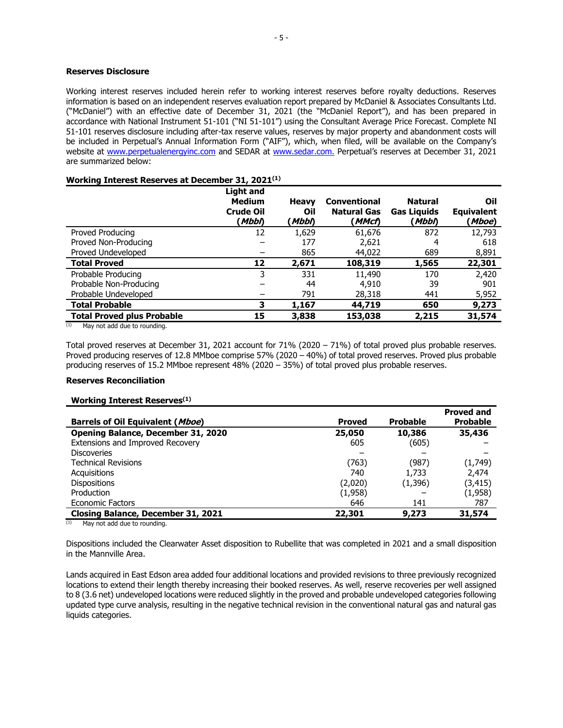# **Reserves Disclosure**

Working interest reserves included herein refer to working interest reserves before royalty deductions. Reserves information is based on an independent reserves evaluation report prepared by McDaniel & Associates Consultants Ltd. ("McDaniel") with an effective date of December 31, 2021 (the "McDaniel Report"), and has been prepared in accordance with National Instrument 51-101 ("NI 51-101") using the Consultant Average Price Forecast. Complete NI 51-101 reserves disclosure including after-tax reserve values, reserves by major property and abandonment costs will be included in Perpetual's Annual Information Form ("AIF"), which, when filed, will be available on the Company's website at [www.perpetualenergyinc.com](http://www.perpetualenergyinc.com/) and SEDAR at [www.sedar.com.](http://www.sedar.com/) Perpetual's reserves at December 31, 2021 are summarized below:

# **Working Interest Reserves at December 31, 2021 (1)**

|                                                                                                                                                                                                                                                                                                                                                                                                                           | Light and<br><b>Medium</b><br><b>Crude Oil</b><br>(Mbbl) | <b>Heavy</b><br>Oil<br>'Mbb∩ | <b>Conventional</b><br><b>Natural Gas</b><br>' MMcf) | <b>Natural</b><br><b>Gas Liquids</b><br>(Mbbl) | Oil<br><b>Equivalent</b><br>(Mboe) |
|---------------------------------------------------------------------------------------------------------------------------------------------------------------------------------------------------------------------------------------------------------------------------------------------------------------------------------------------------------------------------------------------------------------------------|----------------------------------------------------------|------------------------------|------------------------------------------------------|------------------------------------------------|------------------------------------|
| Proved Producing                                                                                                                                                                                                                                                                                                                                                                                                          | 12                                                       | 1,629                        | 61,676                                               | 872                                            | 12,793                             |
| Proved Non-Producing                                                                                                                                                                                                                                                                                                                                                                                                      |                                                          | 177                          | 2,621                                                | 4                                              | 618                                |
| Proved Undeveloped                                                                                                                                                                                                                                                                                                                                                                                                        |                                                          | 865                          | 44,022                                               | 689                                            | 8,891                              |
| <b>Total Proved</b>                                                                                                                                                                                                                                                                                                                                                                                                       | 12                                                       | 2,671                        | 108,319                                              | 1,565                                          | 22,301                             |
| Probable Producing                                                                                                                                                                                                                                                                                                                                                                                                        | 3                                                        | 331                          | 11,490                                               | 170                                            | 2,420                              |
| Probable Non-Producing                                                                                                                                                                                                                                                                                                                                                                                                    |                                                          | 44                           | 4,910                                                | 39                                             | 901                                |
| Probable Undeveloped                                                                                                                                                                                                                                                                                                                                                                                                      |                                                          | 791                          | 28,318                                               | 441                                            | 5,952                              |
| <b>Total Probable</b>                                                                                                                                                                                                                                                                                                                                                                                                     | З                                                        | 1,167                        | 44,719                                               | 650                                            | 9,273                              |
| <b>Total Proved plus Probable</b><br>$\overline{A}$ $\overline{A}$ $\overline{A}$ $\overline{A}$ $\overline{A}$ $\overline{A}$ $\overline{A}$ $\overline{A}$ $\overline{A}$ $\overline{A}$ $\overline{A}$ $\overline{A}$ $\overline{A}$ $\overline{A}$ $\overline{A}$ $\overline{A}$ $\overline{A}$ $\overline{A}$ $\overline{A}$ $\overline{A}$ $\overline{A}$ $\overline{A}$ $\overline{A}$ $\overline{A}$ $\overline{$ | 15                                                       | 3,838                        | 153,038                                              | 2,215                                          | 31,574                             |

 $(1)$  May not add due to rounding.

Total proved reserves at December 31, 2021 account for 71% (2020 – 71%) of total proved plus probable reserves. Proved producing reserves of 12.8 MMboe comprise 57% (2020 – 40%) of total proved reserves. Proved plus probable producing reserves of 15.2 MMboe represent 48% (2020 – 35%) of total proved plus probable reserves.

# **Reserves Reconciliation**

# **Working Interest Reserves(1)**

|                                         |               |                 | <b>Proved and</b> |
|-----------------------------------------|---------------|-----------------|-------------------|
| <b>Barrels of Oil Equivalent (Mboe)</b> | <b>Proved</b> | <b>Probable</b> | <b>Probable</b>   |
| Opening Balance, December 31, 2020      | 25,050        | 10,386          | 35,436            |
| Extensions and Improved Recovery        | 605           | (605)           |                   |
| <b>Discoveries</b>                      |               |                 |                   |
| <b>Technical Revisions</b>              | (763)         | (987)           | (1,749)           |
| Acquisitions                            | 740           | 1,733           | 2,474             |
| <b>Dispositions</b>                     | (2,020)       | (1,396)         | (3, 415)          |
| Production                              | (1,958)       |                 | (1,958)           |
| <b>Economic Factors</b>                 | 646           | 141             | 787               |
| Closing Balance, December 31, 2021      | 22,301        | 9,273           | 31,574            |

 $(1)$  May not add due to rounding.

Dispositions included the Clearwater Asset disposition to Rubellite that was completed in 2021 and a small disposition in the Mannville Area.

Lands acquired in East Edson area added four additional locations and provided revisions to three previously recognized locations to extend their length thereby increasing their booked reserves. As well, reserve recoveries per well assigned to 8 (3.6 net) undeveloped locations were reduced slightly in the proved and probable undeveloped categories following updated type curve analysis, resulting in the negative technical revision in the conventional natural gas and natural gas liquids categories.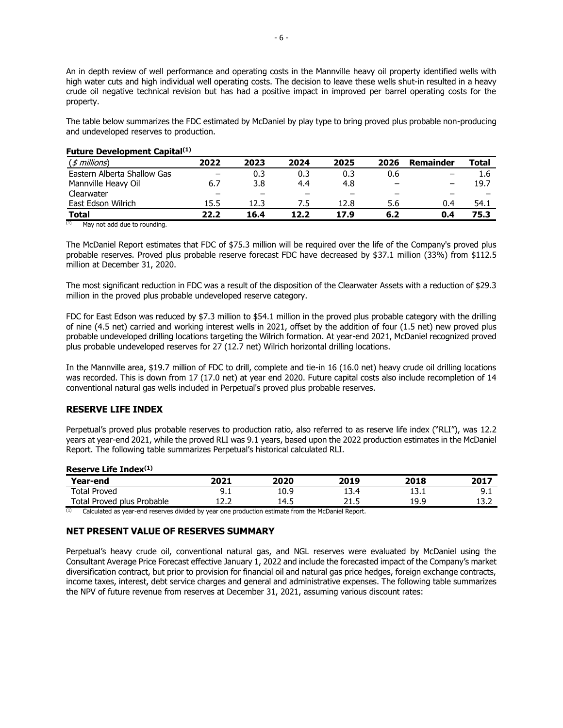An in depth review of well performance and operating costs in the Mannville heavy oil property identified wells with high water cuts and high individual well operating costs. The decision to leave these wells shut-in resulted in a heavy crude oil negative technical revision but has had a positive impact in improved per barrel operating costs for the property.

The table below summarizes the FDC estimated by McDaniel by play type to bring proved plus probable non-producing and undeveloped reserves to production.

| (\$ millions)               | 2022                     | 2023 | 2024 | 2025 | 2026 | <b>Remainder</b> | <b>Total</b> |
|-----------------------------|--------------------------|------|------|------|------|------------------|--------------|
| Eastern Alberta Shallow Gas | $\overline{\phantom{m}}$ | 0.3  | 0.3  | 0.3  | 0.6  |                  | 1.6          |
| Mannville Heavy Oil         | 6.7                      | 3.8  | 4.4  | 4.8  |      |                  | 19.7         |
| Clearwater                  | -                        |      |      |      | -    |                  |              |
| East Edson Wilrich          | 15.5                     | 12.3 |      | 12.8 | 5.6  | 0.4              | 54.1         |
| <b>Total</b>                | 22.2                     | 16.4 | 12.2 | 17.9 | 6.2  | 0.4              | 75.3         |

# **Future Development Capital(1)**

 $(1)$  May not add due to rounding.

The McDaniel Report estimates that FDC of \$75.3 million will be required over the life of the Company's proved plus probable reserves. Proved plus probable reserve forecast FDC have decreased by \$37.1 million (33%) from \$112.5 million at December 31, 2020.

The most significant reduction in FDC was a result of the disposition of the Clearwater Assets with a reduction of \$29.3 million in the proved plus probable undeveloped reserve category.

FDC for East Edson was reduced by \$7.3 million to \$54.1 million in the proved plus probable category with the drilling of nine (4.5 net) carried and working interest wells in 2021, offset by the addition of four (1.5 net) new proved plus probable undeveloped drilling locations targeting the Wilrich formation. At year-end 2021, McDaniel recognized proved plus probable undeveloped reserves for 27 (12.7 net) Wilrich horizontal drilling locations.

In the Mannville area, \$19.7 million of FDC to drill, complete and tie-in 16 (16.0 net) heavy crude oil drilling locations was recorded. This is down from 17 (17.0 net) at year end 2020. Future capital costs also include recompletion of 14 conventional natural gas wells included in Perpetual's proved plus probable reserves.

# **RESERVE LIFE INDEX**

Perpetual's proved plus probable reserves to production ratio, also referred to as reserve life index ("RLI"), was 12.2 years at year-end 2021, while the proved RLI was 9.1 years, based upon the 2022 production estimates in the McDaniel Report. The following table summarizes Perpetual's historical calculated RLI.

**Reserve Life Index(1) Year-end 2021 2020 2019 2018 2017** Total Proved 9.1 10.9 13.4 13.1 9.1 Total Proved plus Probable  $12.2$  14.5 21.5 19.9 13.2

Calculated as year-end reserves divided by year one production estimate from the McDaniel Report.

# **NET PRESENT VALUE OF RESERVES SUMMARY**

Perpetual's heavy crude oil, conventional natural gas, and NGL reserves were evaluated by McDaniel using the Consultant Average Price Forecast effective January 1, 2022 and include the forecasted impact of the Company's market diversification contract, but prior to provision for financial oil and natural gas price hedges, foreign exchange contracts, income taxes, interest, debt service charges and general and administrative expenses. The following table summarizes the NPV of future revenue from reserves at December 31, 2021, assuming various discount rates: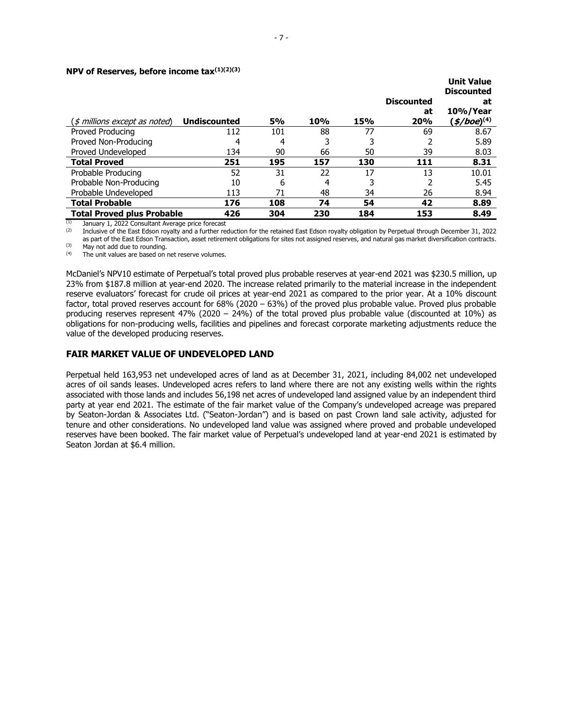#### **NPV of Reserves, before income tax(1)(2)(3)**

|                                                       |                     |           |     |     |                   | <b>Unit Value</b><br><b>Discounted</b> |
|-------------------------------------------------------|---------------------|-----------|-----|-----|-------------------|----------------------------------------|
|                                                       |                     |           |     |     | <b>Discounted</b> | at                                     |
|                                                       |                     |           |     |     | at                | 10%/Year                               |
| $(\text{\textit{I}}\text{~millions except as noted})$ | <b>Undiscounted</b> | <b>5%</b> | 10% | 15% | 20%               | $($ \$/boe $)^{(4)}$                   |
| Proved Producing                                      | 112                 | 101       | 88  | 77  | 69                | 8.67                                   |
| Proved Non-Producing                                  | 4                   | 4         |     |     |                   | 5.89                                   |
| Proved Undeveloped                                    | 134                 | 90        | 66  | 50  | 39                | 8.03                                   |
| <b>Total Proved</b>                                   | 251                 | 195       | 157 | 130 | 111               | 8.31                                   |
| Probable Producing                                    | 52                  | 31        | 22  | 17  | 13                | 10.01                                  |
| Probable Non-Producing                                | 10                  | 6         | 4   |     |                   | 5.45                                   |
| Probable Undeveloped                                  | 113                 | 71        | 48  | 34  | 26                | 8.94                                   |
| <b>Total Probable</b>                                 | 176                 | 108       | 74  | 54  | 42                | 8.89                                   |
| <b>Total Proved plus Probable</b>                     | 426                 | 304       | 230 | 184 | 153               | 8.49                                   |

 $\overline{1}$  January 1, 2022 Consultant Average price forecast

<sup>(2)</sup> Inclusive of the East Edson royalty and a further reduction for the retained East Edson royalty obligation by Perpetual through December 31, 2022 as part of the East Edson Transaction, asset retirement obligations for sites not assigned reserves, and natural gas market diversification contracts.  $(M<sub>1</sub>)$  May not add due to rounding.

The unit values are based on net reserve volumes.

McDaniel's NPV10 estimate of Perpetual's total proved plus probable reserves at year-end 2021 was \$230.5 million, up 23% from \$187.8 million at year-end 2020. The increase related primarily to the material increase in the independent reserve evaluators' forecast for crude oil prices at year-end 2021 as compared to the prior year. At a 10% discount factor, total proved reserves account for 68% (2020 – 63%) of the proved plus probable value. Proved plus probable producing reserves represent 47% (2020 – 24%) of the total proved plus probable value (discounted at 10%) as obligations for non-producing wells, facilities and pipelines and forecast corporate marketing adjustments reduce the value of the developed producing reserves.

# **FAIR MARKET VALUE OF UNDEVELOPED LAND**

Perpetual held 163,953 net undeveloped acres of land as at December 31, 2021, including 84,002 net undeveloped acres of oil sands leases. Undeveloped acres refers to land where there are not any existing wells within the rights associated with those lands and includes 56,198 net acres of undeveloped land assigned value by an independent third party at year end 2021. The estimate of the fair market value of the Company's undeveloped acreage was prepared by Seaton-Jordan & Associates Ltd. ("Seaton-Jordan") and is based on past Crown land sale activity, adjusted for tenure and other considerations. No undeveloped land value was assigned where proved and probable undeveloped reserves have been booked. The fair market value of Perpetual's undeveloped land at year-end 2021 is estimated by Seaton Jordan at \$6.4 million.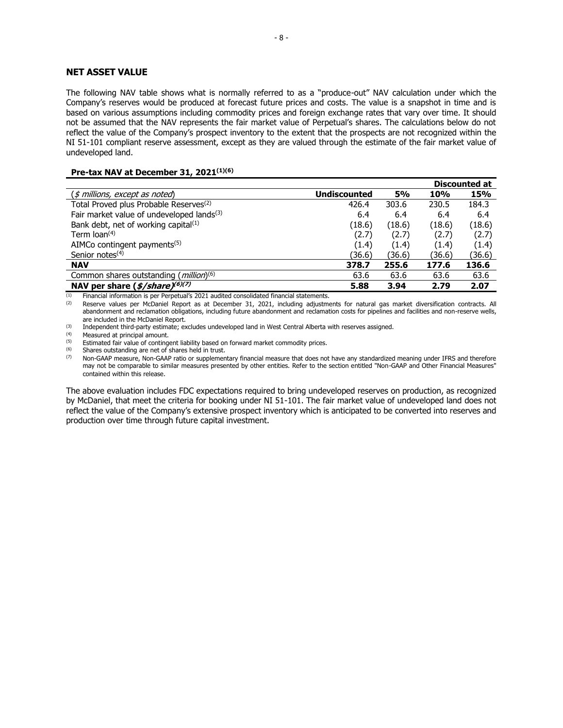# **NET ASSET VALUE**

The following NAV table shows what is normally referred to as a "produce-out" NAV calculation under which the Company's reserves would be produced at forecast future prices and costs. The value is a snapshot in time and is based on various assumptions including commodity prices and foreign exchange rates that vary over time. It should not be assumed that the NAV represents the fair market value of Perpetual's shares. The calculations below do not reflect the value of the Company's prospect inventory to the extent that the prospects are not recognized within the NI 51-101 compliant reserve assessment, except as they are valued through the estimate of the fair market value of undeveloped land.

# **Pre-tax NAV at December 31, 2021 (1)(6)**

|                                                                                                                                               |                     |           |            | <b>Discounted at</b> |
|-----------------------------------------------------------------------------------------------------------------------------------------------|---------------------|-----------|------------|----------------------|
| $(\text{\textit{I}}\text{\textit{m}}\text{\textit{l}}\text{\textit{l}}\text{\textit{on}}\text{\textit{c}}\text{\textit{c}}$ , except as noted | <b>Undiscounted</b> | <b>5%</b> | <b>10%</b> | 15%                  |
| Total Proved plus Probable Reserves <sup>(2)</sup>                                                                                            | 426.4               | 303.6     | 230.5      | 184.3                |
| Fair market value of undeveloped lands <sup>(3)</sup>                                                                                         | 6.4                 | 6.4       | 6.4        | 6.4                  |
| Bank debt, net of working capital <sup>(1)</sup>                                                                                              | (18.6)              | (18.6)    | (18.6)     | (18.6)               |
| Term $\text{loan}^{(4)}$                                                                                                                      | (2.7)               | (2.7)     | (2.7)      | (2.7)                |
| AIMCo contingent payments $(5)$                                                                                                               | (1.4)               | (1.4)     | (1.4)      | (1.4)                |
| Senior notes <sup>(4)</sup>                                                                                                                   | (36.6)              | (36.6)    | (36.6)     | (36.6)               |
| <b>NAV</b>                                                                                                                                    | 378.7               | 255.6     | 177.6      | 136.6                |
| Common shares outstanding ( <i>million</i> ) <sup>(6)</sup>                                                                                   | 63.6                | 63.6      | 63.6       | 63.6                 |
| NAV per share $(\frac{2}{5}/\text{share})^{(6)(7)}$                                                                                           | 5.88                | 3.94      | 2.79       | 2.07                 |

(1) Financial information is per Perpetual's 2021 audited consolidated financial statements.<br>  $(2)$  Reserve values per McDaniel Report as at December 31, 2021, including adjustment

Reserve values per McDaniel Report as at December 31, 2021, including adjustments for natural gas market diversification contracts. All abandonment and reclamation obligations, including future abandonment and reclamation costs for pipelines and facilities and non-reserve wells, are included in the McDaniel Report.

(3) Independent third-party estimate; excludes undeveloped land in West Central Alberta with reserves assigned.

 $(4)$  Measured at principal amount.<br> $(5)$  Estimated fair value of conting

(5) Estimated fair value of contingent liability based on forward market commodity prices.<br>(6) Shares outstanding are net of shares held in trust

 $(6)$  Shares outstanding are net of shares held in trust.<br> $(7)$  Non-GAAP measure, Non-GAAP ratio or supplement

Non-GAAP measure, Non-GAAP ratio or supplementary financial measure that does not have any standardized meaning under IFRS and therefore may not be comparable to similar measures presented by other entities. Refer to the section entitled "Non-GAAP and Other Financial Measures" contained within this release.

The above evaluation includes FDC expectations required to bring undeveloped reserves on production, as recognized by McDaniel, that meet the criteria for booking under NI 51-101. The fair market value of undeveloped land does not reflect the value of the Company's extensive prospect inventory which is anticipated to be converted into reserves and production over time through future capital investment.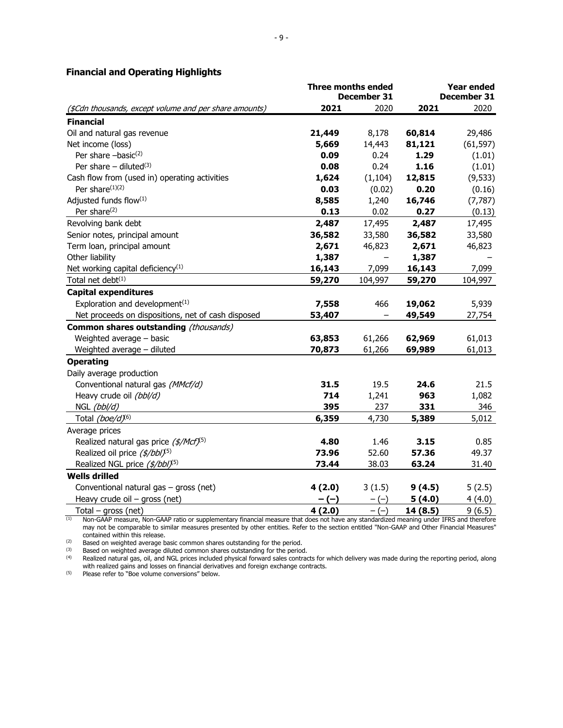|                                                        | <b>Three months ended</b> |             | <b>Year ended</b> |             |  |
|--------------------------------------------------------|---------------------------|-------------|-------------------|-------------|--|
|                                                        |                           | December 31 |                   | December 31 |  |
| (\$Cdn thousands, except volume and per share amounts) | 2021                      | 2020        | 2021              | 2020        |  |
| <b>Financial</b>                                       |                           |             |                   |             |  |
| Oil and natural gas revenue                            | 21,449                    | 8,178       | 60,814            | 29,486      |  |
| Net income (loss)                                      | 5,669                     | 14,443      | 81,121            | (61, 597)   |  |
| Per share $-basic^{(2)}$                               | 0.09                      | 0.24        | 1.29              | (1.01)      |  |
| Per share $-$ diluted <sup>(3)</sup>                   | 0.08                      | 0.24        | 1.16              | (1.01)      |  |
| Cash flow from (used in) operating activities          | 1,624                     | (1, 104)    | 12,815            | (9, 533)    |  |
| Per share <sup>(1)(2)</sup>                            | 0.03                      | (0.02)      | 0.20              | (0.16)      |  |
| Adjusted funds flow(1)                                 | 8,585                     | 1,240       | 16,746            | (7, 787)    |  |
| Per share <sup>(2)</sup>                               | 0.13                      | 0.02        | 0.27              | (0.13)      |  |
| Revolving bank debt                                    | 2,487                     | 17,495      | 2,487             | 17,495      |  |
| Senior notes, principal amount                         | 36,582                    | 33,580      | 36,582            | 33,580      |  |
| Term loan, principal amount                            | 2,671                     | 46,823      | 2,671             | 46,823      |  |
| Other liability                                        | 1,387                     |             | 1,387             |             |  |
| Net working capital deficiency <sup>(1)</sup>          | 16,143                    | 7,099       | 16,143            | 7,099       |  |
| Total net debt <sup>(1)</sup>                          | 59,270                    | 104,997     | 59,270            | 104,997     |  |
| <b>Capital expenditures</b>                            |                           |             |                   |             |  |
| Exploration and development <sup>(1)</sup>             | 7,558                     | 466         | 19,062            | 5,939       |  |
| Net proceeds on dispositions, net of cash disposed     | 53,407                    |             | 49,549            | 27,754      |  |
| Common shares outstanding (thousands)                  |                           |             |                   |             |  |
| Weighted average - basic                               | 63,853                    | 61,266      | 62,969            | 61,013      |  |
| Weighted average - diluted                             | 70,873                    | 61,266      | 69,989            | 61,013      |  |
| <b>Operating</b>                                       |                           |             |                   |             |  |
| Daily average production                               |                           |             |                   |             |  |
| Conventional natural gas (MMcf/d)                      | 31.5                      | 19.5        | 24.6              | 21.5        |  |
| Heavy crude oil (bbl/d)                                | 714                       | 1,241       | 963               | 1,082       |  |
| NGL (bbl/d)                                            | 395                       | 237         | 331               | 346         |  |
| Total (boe/d) <sup>(6)</sup>                           | 6,359                     | 4,730       | 5,389             | 5,012       |  |
| Average prices                                         |                           |             |                   |             |  |
| Realized natural gas price (\$/Mcf) <sup>(5)</sup>     | 4.80                      | 1.46        | 3.15              | 0.85        |  |
| Realized oil price (\$/bbl) <sup>(5)</sup>             | 73.96                     | 52.60       | 57.36             | 49.37       |  |
| Realized NGL price (\$/bbl) <sup>(5)</sup>             | 73.44                     | 38.03       | 63.24             | 31.40       |  |
| <b>Wells drilled</b>                                   |                           |             |                   |             |  |
| Conventional natural gas - gross (net)                 | 4(2.0)                    | 3(1.5)      | 9(4.5)            | 5(2.5)      |  |
| Heavy crude oil $-$ gross (net)                        | - (-)                     | $-(-)$      | 5(4.0)            | 4(4.0)      |  |
| Total $-$ gross (net)                                  | 4(2.0)                    | $-(-)$      | 14 (8.5)          | 9(6.5)      |  |
|                                                        |                           |             |                   |             |  |

# **Financial and Operating Highlights**

(1) Non-GAAP measure, Non-GAAP ratio or supplementary financial measure that does not have any standardized meaning under IFRS and therefore may not be comparable to similar measures presented by other entities. Refer to the section entitled "Non-GAAP and Other Financial Measures" contained within this release.

 $\frac{1}{2}$  Based on weighted average basic common shares outstanding for the period.<br>
Based on weighted average basic common shares outstanding for the period.

 $(3)$  Based on weighted average diluted common shares outstanding for the period.

 $^{(4)}$  Realized natural gas, oil, and NGL prices included physical forward sales contracts for which delivery was made during the reporting period, along with realized gains and losses on financial derivatives and foreign exchange contracts.

(5) Please refer to "Boe volume conversions" below.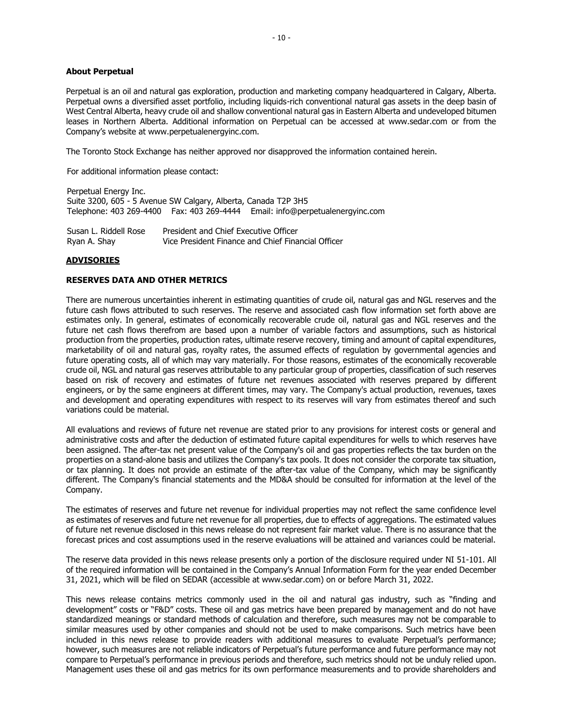#### **About Perpetual**

Perpetual is an oil and natural gas exploration, production and marketing company headquartered in Calgary, Alberta. Perpetual owns a diversified asset portfolio, including liquids-rich conventional natural gas assets in the deep basin of West Central Alberta, heavy crude oil and shallow conventional natural gas in Eastern Alberta and undeveloped bitumen leases in Northern Alberta. Additional information on Perpetual can be accessed at www.sedar.com or from the Company's website at www.perpetualenergyinc.com.

The Toronto Stock Exchange has neither approved nor disapproved the information contained herein.

For additional information please contact:

Perpetual Energy Inc. Suite 3200, 605 - 5 Avenue SW Calgary, Alberta, Canada T2P 3H5 Telephone: 403 269-4400 Fax: 403 269-4444 Email: info@perpetualenergyinc.com

Susan L. Riddell Rose Ryan A. Shay President and Chief Executive Officer Vice President Finance and Chief Financial Officer

# **ADVISORIES**

# **RESERVES DATA AND OTHER METRICS**

There are numerous uncertainties inherent in estimating quantities of crude oil, natural gas and NGL reserves and the future cash flows attributed to such reserves. The reserve and associated cash flow information set forth above are estimates only. In general, estimates of economically recoverable crude oil, natural gas and NGL reserves and the future net cash flows therefrom are based upon a number of variable factors and assumptions, such as historical production from the properties, production rates, ultimate reserve recovery, timing and amount of capital expenditures, marketability of oil and natural gas, royalty rates, the assumed effects of regulation by governmental agencies and future operating costs, all of which may vary materially. For those reasons, estimates of the economically recoverable crude oil, NGL and natural gas reserves attributable to any particular group of properties, classification of such reserves based on risk of recovery and estimates of future net revenues associated with reserves prepared by different engineers, or by the same engineers at different times, may vary. The Company's actual production, revenues, taxes and development and operating expenditures with respect to its reserves will vary from estimates thereof and such variations could be material.

All evaluations and reviews of future net revenue are stated prior to any provisions for interest costs or general and administrative costs and after the deduction of estimated future capital expenditures for wells to which reserves have been assigned. The after-tax net present value of the Company's oil and gas properties reflects the tax burden on the properties on a stand-alone basis and utilizes the Company's tax pools. It does not consider the corporate tax situation, or tax planning. It does not provide an estimate of the after-tax value of the Company, which may be significantly different. The Company's financial statements and the MD&A should be consulted for information at the level of the Company.

The estimates of reserves and future net revenue for individual properties may not reflect the same confidence level as estimates of reserves and future net revenue for all properties, due to effects of aggregations. The estimated values of future net revenue disclosed in this news release do not represent fair market value. There is no assurance that the forecast prices and cost assumptions used in the reserve evaluations will be attained and variances could be material.

The reserve data provided in this news release presents only a portion of the disclosure required under NI 51-101. All of the required information will be contained in the Company's Annual Information Form for the year ended December 31, 2021, which will be filed on SEDAR (accessible at www.sedar.com) on or before March 31, 2022.

This news release contains metrics commonly used in the oil and natural gas industry, such as "finding and development" costs or "F&D" costs. These oil and gas metrics have been prepared by management and do not have standardized meanings or standard methods of calculation and therefore, such measures may not be comparable to similar measures used by other companies and should not be used to make comparisons. Such metrics have been included in this news release to provide readers with additional measures to evaluate Perpetual's performance; however, such measures are not reliable indicators of Perpetual's future performance and future performance may not compare to Perpetual's performance in previous periods and therefore, such metrics should not be unduly relied upon. Management uses these oil and gas metrics for its own performance measurements and to provide shareholders and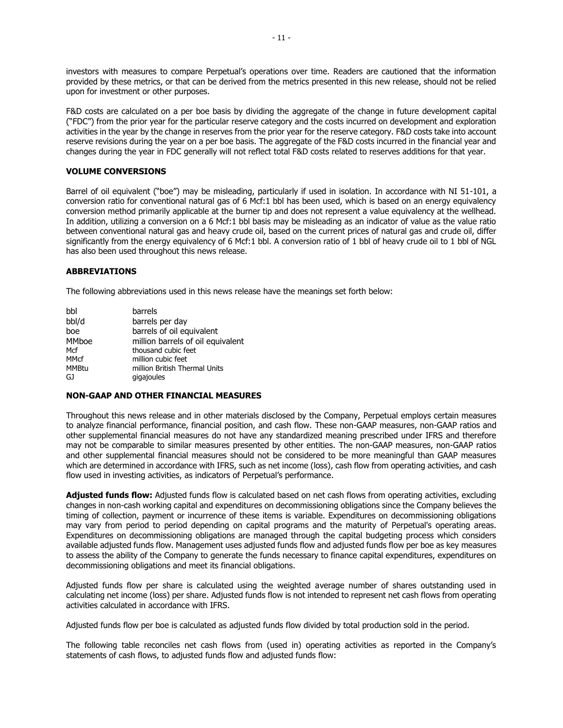investors with measures to compare Perpetual's operations over time. Readers are cautioned that the information provided by these metrics, or that can be derived from the metrics presented in this new release, should not be relied upon for investment or other purposes.

F&D costs are calculated on a per boe basis by dividing the aggregate of the change in future development capital ("FDC") from the prior year for the particular reserve category and the costs incurred on development and exploration activities in the year by the change in reserves from the prior year for the reserve category. F&D costs take into account reserve revisions during the year on a per boe basis. The aggregate of the F&D costs incurred in the financial year and changes during the year in FDC generally will not reflect total F&D costs related to reserves additions for that year.

# **VOLUME CONVERSIONS**

Barrel of oil equivalent ("boe") may be misleading, particularly if used in isolation. In accordance with NI 51-101, a conversion ratio for conventional natural gas of 6 Mcf:1 bbl has been used, which is based on an energy equivalency conversion method primarily applicable at the burner tip and does not represent a value equivalency at the wellhead. In addition, utilizing a conversion on a 6 Mcf:1 bbl basis may be misleading as an indicator of value as the value ratio between conventional natural gas and heavy crude oil, based on the current prices of natural gas and crude oil, differ significantly from the energy equivalency of 6 Mcf:1 bbl. A conversion ratio of 1 bbl of heavy crude oil to 1 bbl of NGL has also been used throughout this news release.

# **ABBREVIATIONS**

The following abbreviations used in this news release have the meanings set forth below:

| bbl          | barrels                           |
|--------------|-----------------------------------|
| bbl/d        | barrels per day                   |
| boe          | barrels of oil equivalent         |
| <b>MMboe</b> | million barrels of oil equivalent |
| Mcf          | thousand cubic feet               |
| <b>MMcf</b>  | million cubic feet                |
| <b>MMBtu</b> | million British Thermal Units     |
| GJ           | gigajoules                        |

# **NON-GAAP AND OTHER FINANCIAL MEASURES**

Throughout this news release and in other materials disclosed by the Company, Perpetual employs certain measures to analyze financial performance, financial position, and cash flow. These non-GAAP measures, non-GAAP ratios and other supplemental financial measures do not have any standardized meaning prescribed under IFRS and therefore may not be comparable to similar measures presented by other entities. The non-GAAP measures, non-GAAP ratios and other supplemental financial measures should not be considered to be more meaningful than GAAP measures which are determined in accordance with IFRS, such as net income (loss), cash flow from operating activities, and cash flow used in investing activities, as indicators of Perpetual's performance.

**Adjusted funds flow:** Adjusted funds flow is calculated based on net cash flows from operating activities, excluding changes in non-cash working capital and expenditures on decommissioning obligations since the Company believes the timing of collection, payment or incurrence of these items is variable. Expenditures on decommissioning obligations may vary from period to period depending on capital programs and the maturity of Perpetual's operating areas. Expenditures on decommissioning obligations are managed through the capital budgeting process which considers available adjusted funds flow. Management uses adjusted funds flow and adjusted funds flow per boe as key measures to assess the ability of the Company to generate the funds necessary to finance capital expenditures, expenditures on decommissioning obligations and meet its financial obligations.

Adjusted funds flow per share is calculated using the weighted average number of shares outstanding used in calculating net income (loss) per share. Adjusted funds flow is not intended to represent net cash flows from operating activities calculated in accordance with IFRS.

Adjusted funds flow per boe is calculated as adjusted funds flow divided by total production sold in the period.

The following table reconciles net cash flows from (used in) operating activities as reported in the Company's statements of cash flows, to adjusted funds flow and adjusted funds flow: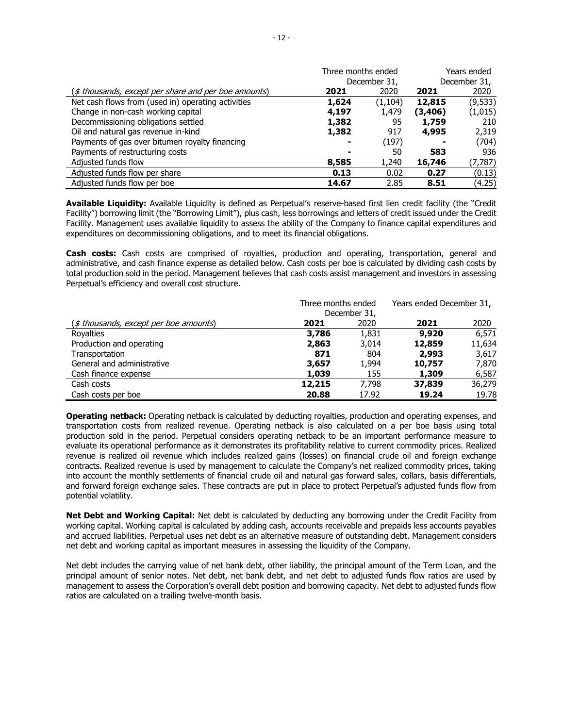|                                                      | Three months ended |              | Years ended |              |
|------------------------------------------------------|--------------------|--------------|-------------|--------------|
|                                                      |                    | December 31, |             | December 31, |
| (\$ thousands, except per share and per boe amounts) | 2021               | 2020         | 2021        | 2020         |
| Net cash flows from (used in) operating activities   | 1,624              | (1, 104)     | 12,815      | (9, 533)     |
| Change in non-cash working capital                   | 4,197              | 1,479        | (3, 406)    | (1,015)      |
| Decommissioning obligations settled                  | 1,382              | 95           | 1,759       | 210          |
| Oil and natural gas revenue in-kind                  | 1,382              | 917          | 4,995       | 2,319        |
| Payments of gas over bitumen royalty financing       |                    | (197)        |             | (704)        |
| Payments of restructuring costs                      |                    | 50           | 583         | 936          |
| Adjusted funds flow                                  | 8,585              | 1,240        | 16,746      | (7, 787)     |
| Adjusted funds flow per share                        | 0.13               | 0.02         | 0.27        | (0.13)       |
| Adjusted funds flow per boe                          | 14.67              | 2.85         | 8.51        | (4.25)       |

**Available Liquidity:** Available Liquidity is defined as Perpetual's reserve-based first lien credit facility (the "Credit Facility") borrowing limit (the "Borrowing Limit"), plus cash, less borrowings and letters of credit issued under the Credit Facility. Management uses available liquidity to assess the ability of the Company to finance capital expenditures and expenditures on decommissioning obligations, and to meet its financial obligations.

**Cash costs:** Cash costs are comprised of royalties, production and operating, transportation, general and administrative, and cash finance expense as detailed below. Cash costs per boe is calculated by dividing cash costs by total production sold in the period. Management believes that cash costs assist management and investors in assessing Perpetual's efficiency and overall cost structure.

|                                                 | Three months ended |              | Years ended December 31, |        |
|-------------------------------------------------|--------------------|--------------|--------------------------|--------|
|                                                 |                    | December 31, |                          |        |
| $(\text{\$ thousands, except per boe amounts})$ | 2021               | 2020         | 2021                     | 2020   |
| Royalties                                       | 3,786              | 1,831        | 9,920                    | 6,571  |
| Production and operating                        | 2,863              | 3,014        | 12,859                   | 11,634 |
| Transportation                                  | 871                | 804          | 2,993                    | 3,617  |
| General and administrative                      | 3,657              | 1,994        | 10,757                   | 7,870  |
| Cash finance expense                            | 1,039              | 155          | 1,309                    | 6,587  |
| Cash costs                                      | 12,215             | 7.798        | 37,839                   | 36,279 |
| Cash costs per boe                              | 20.88              | 17.92        | 19.24                    | 19.78  |

**Operating netback:** Operating netback is calculated by deducting royalties, production and operating expenses, and transportation costs from realized revenue. Operating netback is also calculated on a per boe basis using total production sold in the period. Perpetual considers operating netback to be an important performance measure to evaluate its operational performance as it demonstrates its profitability relative to current commodity prices. Realized revenue is realized oil revenue which includes realized gains (losses) on financial crude oil and foreign exchange contracts. Realized revenue is used by management to calculate the Company's net realized commodity prices, taking into account the monthly settlements of financial crude oil and natural gas forward sales, collars, basis differentials, and forward foreign exchange sales. These contracts are put in place to protect Perpetual's adjusted funds flow from potential volatility.

**Net Debt and Working Capital:** Net debt is calculated by deducting any borrowing under the Credit Facility from working capital. Working capital is calculated by adding cash, accounts receivable and prepaids less accounts payables and accrued liabilities. Perpetual uses net debt as an alternative measure of outstanding debt. Management considers net debt and working capital as important measures in assessing the liquidity of the Company.

Net debt includes the carrying value of net bank debt, other liability, the principal amount of the Term Loan, and the principal amount of senior notes. Net debt, net bank debt, and net debt to adjusted funds flow ratios are used by management to assess the Corporation's overall debt position and borrowing capacity. Net debt to adjusted funds flow ratios are calculated on a trailing twelve-month basis.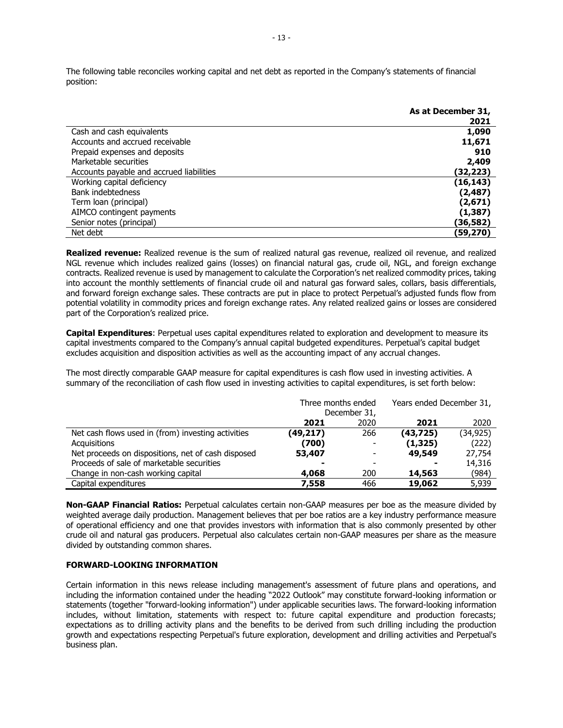The following table reconciles working capital and net debt as reported in the Company's statements of financial position:

|                                          | As at December 31, |
|------------------------------------------|--------------------|
|                                          | 2021               |
| Cash and cash equivalents                | 1,090              |
| Accounts and accrued receivable          | 11,671             |
| Prepaid expenses and deposits            | 910                |
| Marketable securities                    | 2,409              |
| Accounts payable and accrued liabilities | (32,223)           |
| Working capital deficiency               | (16, 143)          |
| Bank indebtedness                        | (2, 487)           |
| Term loan (principal)                    | (2,671)            |
| AIMCO contingent payments                | (1, 387)           |
| Senior notes (principal)                 | (36,582)           |
| Net debt                                 | (59,270)           |

**Realized revenue:** Realized revenue is the sum of realized natural gas revenue, realized oil revenue, and realized NGL revenue which includes realized gains (losses) on financial natural gas, crude oil, NGL, and foreign exchange contracts. Realized revenue is used by management to calculate the Corporation's net realized commodity prices, taking into account the monthly settlements of financial crude oil and natural gas forward sales, collars, basis differentials, and forward foreign exchange sales. These contracts are put in place to protect Perpetual's adjusted funds flow from potential volatility in commodity prices and foreign exchange rates. Any related realized gains or losses are considered part of the Corporation's realized price.

**Capital Expenditures**: Perpetual uses capital expenditures related to exploration and development to measure its capital investments compared to the Company's annual capital budgeted expenditures. Perpetual's capital budget excludes acquisition and disposition activities as well as the accounting impact of any accrual changes.

The most directly comparable GAAP measure for capital expenditures is cash flow used in investing activities. A summary of the reconciliation of cash flow used in investing activities to capital expenditures, is set forth below:

|                                                    | Three months ended<br>December 31, |                          | Years ended December 31, |          |
|----------------------------------------------------|------------------------------------|--------------------------|--------------------------|----------|
|                                                    | 2021                               | 2020                     | 2021                     | 2020     |
| Net cash flows used in (from) investing activities | (49,217)                           | 266                      | (43,725)                 | (34,925) |
| Acquisitions                                       | (700)                              | $\overline{\phantom{0}}$ | (1, 325)                 | (222)    |
| Net proceeds on dispositions, net of cash disposed | 53,407                             | $\overline{\phantom{0}}$ | 49,549                   | 27,754   |
| Proceeds of sale of marketable securities          |                                    |                          |                          | 14,316   |
| Change in non-cash working capital                 | 4,068                              | 200                      | 14,563                   | (984)    |
| Capital expenditures                               | 7,558                              | 466                      | 19,062                   | 5,939    |

**Non-GAAP Financial Ratios:** Perpetual calculates certain non-GAAP measures per boe as the measure divided by weighted average daily production. Management believes that per boe ratios are a key industry performance measure of operational efficiency and one that provides investors with information that is also commonly presented by other crude oil and natural gas producers. Perpetual also calculates certain non-GAAP measures per share as the measure divided by outstanding common shares.

# **FORWARD-LOOKING INFORMATION**

Certain information in this news release including management's assessment of future plans and operations, and including the information contained under the heading "2022 Outlook" may constitute forward-looking information or statements (together "forward-looking information") under applicable securities laws. The forward-looking information includes, without limitation, statements with respect to: future capital expenditure and production forecasts; expectations as to drilling activity plans and the benefits to be derived from such drilling including the production growth and expectations respecting Perpetual's future exploration, development and drilling activities and Perpetual's business plan.